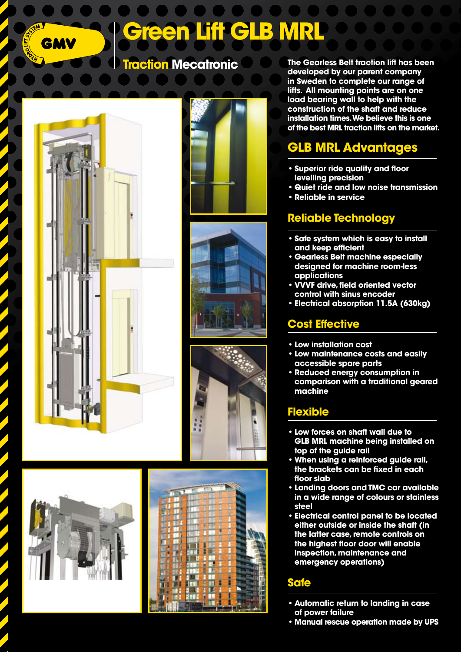# Green Lift GLB MRL











|        |              |                                    | ۱                              |  |
|--------|--------------|------------------------------------|--------------------------------|--|
|        | I<br>Į       | ۱                                  | F                              |  |
| Ī<br>ì | Ī<br>E<br>ļ  | <b>THE COMPANY OF PERSONS</b><br>í | and the fact on the first side |  |
|        | ١            |                                    | ł                              |  |
|        | - 三重 三重<br>F | ī<br>B<br>٠                        | r                              |  |
|        | Ī<br>E<br>E  | F                                  |                                |  |
| Ľ      |              |                                    |                                |  |

**Traction Mecatronic** The Gearless Belt traction lift has been developed by our parent company in Sweden to complete our range of lifts. All mounting points are on one load bearing wall to help with the construction of the shaft and reduce installation times. We believe this is one of the best MRL traction lifts on the market.

## GLB MRL Advantages

- • Superior ride quality and floor levelling precision
- • Quiet ride and low noise transmission
- • Reliable in service

#### Reliable Technology

- • Safe system which is easy to install and keep efficient
- • Gearless Belt machine especially designed for machine room-less applications
- VVVF drive, field oriented vector control with sinus encoder
- • Electrical absorption 11.5A (630kg)

### Cost Effective

- • Low installation cost
- • Low maintenance costs and easily accessible spare parts
- • Reduced energy consumption in comparison with a traditional geared machine

#### **Flexible**

- • Low forces on shaft wall due to GLB MRL machine being installed on top of the guide rail
- • When using a reinforced guide rail, the brackets can be fixed in each floor slab
- • Landing doors and TMC car available in a wide range of colours or stainless steel
- • Electrical control panel to be located either outside or inside the shaft (in the latter case, remote controls on the highest floor door will enable inspection, maintenance and emergency operations)

#### **Safe**

- • Automatic return to landing in case of power failure
- • Manual rescue operation made by UPS